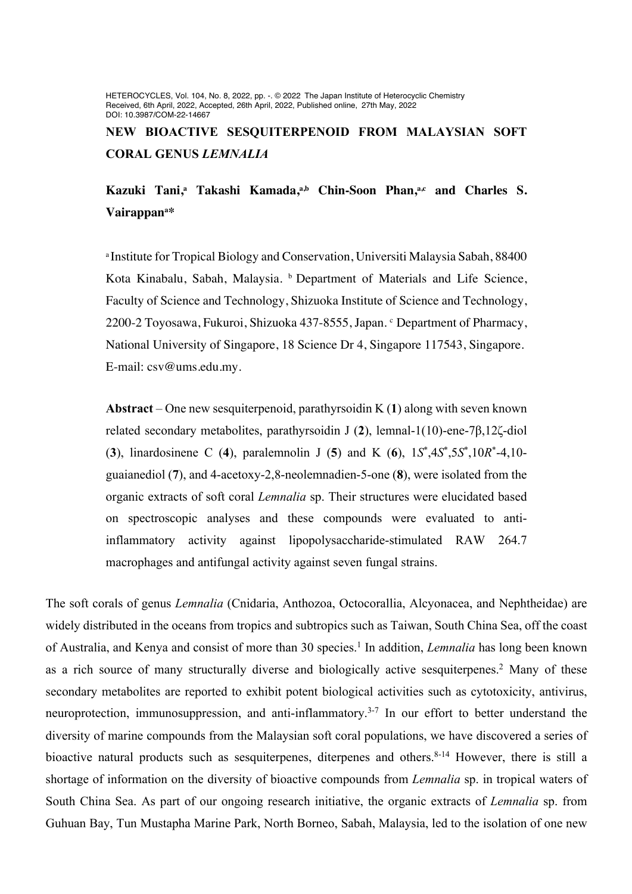HETEROCYCLES, Vol. 104, No. 8, 2022, pp. -. © 2022 The Japan Institute of Heterocyclic Chemistry Received, 6th April, 2022, Accepted, 26th April, 2022, Published online, 27th May, 2022 DOI: 10.3987/COM-22-14667

**NEW BIOACTIVE SESQUITERPENOID FROM MALAYSIAN SOFT CORAL GENUS** *LEMNALIA*

## **Kazuki Tani, <sup>a</sup> Takashi Kamada, a,b Chin-Soon Phan, a,c and Charles S. Vairappana \***

a Institute for Tropical Biology and Conservation, Universiti Malaysia Sabah, 88400 Kota Kinabalu, Sabah, Malaysia. **b** Department of Materials and Life Science, Faculty of Science and Technology, Shizuoka Institute of Science and Technology, 2200-2 Toyosawa, Fukuroi, Shizuoka 437-8555, Japan. <sup>c</sup> Department of Pharmacy, National University of Singapore, 18 Science Dr 4, Singapore 117543, Singapore. E-mail: csv@ums.edu.my.

**Abstract** – One new sesquiterpenoid, parathyrsoidin K (**1**) along with seven known related secondary metabolites, parathyrsoidin J (**2**), lemnal-1(10)-ene-7β,12ζ-diol (**3**), linardosinene C (**4**), paralemnolin J (**5**) and K (**6**), 1*S*\* ,4*S*\* ,5*S*\* ,10*R*\* -4,10 guaianediol (**7**), and 4-acetoxy-2,8-neolemnadien-5-one (**8**), were isolated from the organic extracts of soft coral *Lemnalia* sp. Their structures were elucidated based on spectroscopic analyses and these compounds were evaluated to antiinflammatory activity against lipopolysaccharide-stimulated RAW 264.7 macrophages and antifungal activity against seven fungal strains.

The soft corals of genus *Lemnalia* (Cnidaria, Anthozoa, Octocorallia, Alcyonacea, and Nephtheidae) are widely distributed in the oceans from tropics and subtropics such as Taiwan, South China Sea, off the coast of Australia, and Kenya and consist of more than 30 species. <sup>1</sup> In addition, *Lemnalia* has long been known as a rich source of many structurally diverse and biologically active sesquiterpenes. <sup>2</sup> Many of these secondary metabolites are reported to exhibit potent biological activities such as cytotoxicity, antivirus, neuroprotection, immunosuppression, and anti-inflammatory.<sup>3-7</sup> In our effort to better understand the diversity of marine compounds from the Malaysian soft coral populations, we have discovered a series of bioactive natural products such as sesquiterpenes, diterpenes and others.<sup>8-14</sup> However, there is still a shortage of information on the diversity of bioactive compounds from *Lemnalia* sp. in tropical waters of South China Sea. As part of our ongoing research initiative, the organic extracts of *Lemnalia* sp. from Guhuan Bay, Tun Mustapha Marine Park, North Borneo, Sabah, Malaysia, led to the isolation of one new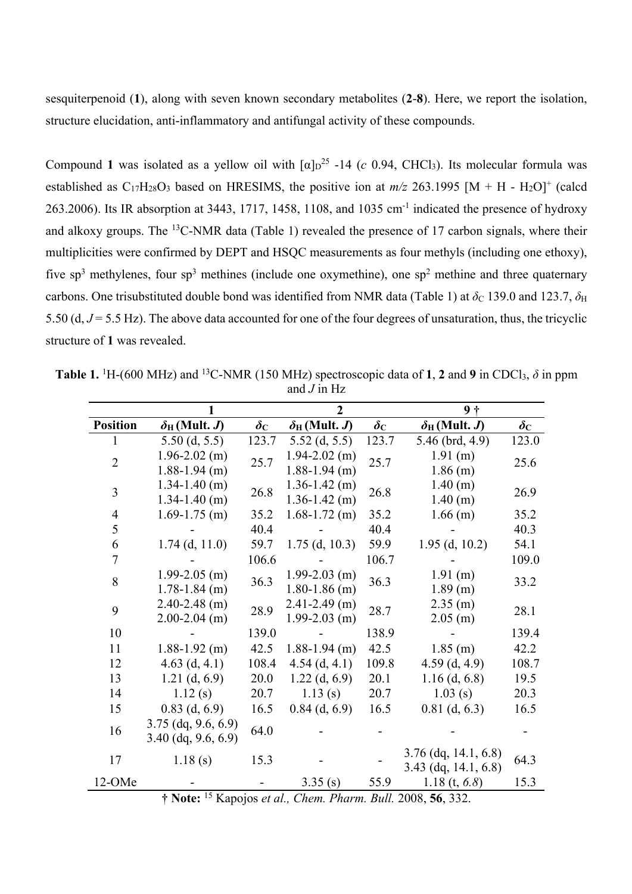sesquiterpenoid (**1**), along with seven known secondary metabolites (**2**-**8**). Here, we report the isolation, structure elucidation, anti-inflammatory and antifungal activity of these compounds.

Compound 1 was isolated as a yellow oil with  $\lceil \alpha \rceil_D^{25}$  -14 (*c* 0.94, CHCl<sub>3</sub>). Its molecular formula was established as  $C_{17}H_{28}O_3$  based on HRESIMS, the positive ion at  $m/z$  263.1995 [M + H - H<sub>2</sub>O]<sup>+</sup> (calcd 263.2006). Its IR absorption at 3443, 1717, 1458, 1108, and 1035 cm-1 indicated the presence of hydroxy and alkoxy groups. The 13C-NMR data (Table 1) revealed the presence of 17 carbon signals, where their multiplicities were confirmed by DEPT and HSQC measurements as four methyls (including one ethoxy), five sp<sup>3</sup> methylenes, four sp<sup>3</sup> methines (include one oxymethine), one sp<sup>2</sup> methine and three quaternary carbons. One trisubstituted double bond was identified from NMR data (Table 1) at  $\delta_c$  139.0 and 123.7,  $\delta_H$ 5.50 (d, *J* = 5.5 Hz). The above data accounted for one of the four degrees of unsaturation, thus, the tricyclic structure of **1** was revealed.

**Table 1.** <sup>1</sup>H-(600 MHz) and <sup>13</sup>C-NMR (150 MHz) spectroscopic data of **1**, **2** and **9** in CDCl<sub>3</sub>,  $\delta$  in ppm and *J* in Hz

|                       | $\mathbf{2}$                                                                     |                                              | $9+$                    |                        |                         |  |
|-----------------------|----------------------------------------------------------------------------------|----------------------------------------------|-------------------------|------------------------|-------------------------|--|
| $\delta_H$ (Mult. J)  | $\boldsymbol{\delta c}$                                                          | $\delta_{\rm H}$ (Mult. J)                   | $\pmb{\delta}_\text{C}$ | $\delta_H$ (Mult. J)   | $\boldsymbol{\delta c}$ |  |
| $5.50$ (d, $5.5$ )    | 123.7                                                                            | $5.52$ (d, $5.5$ )                           | 123.7                   | 5.46 (brd, 4.9)        | 123.0                   |  |
| $1.96 - 2.02$ (m)     |                                                                                  | $1.94 - 2.02$ (m)                            | 25.7                    | 1.91 (m)               | 25.6                    |  |
| $1.88 - 1.94$ (m)     |                                                                                  | $1.88 - 1.94$ (m)                            |                         | $1.86$ (m)             |                         |  |
| $1.34 - 1.40$ (m)     |                                                                                  | $1.36 - 1.42$ (m)                            | 26.8                    | 1.40(m)                | 26.9                    |  |
| $1.34 - 1.40$ (m)     |                                                                                  | $1.36 - 1.42$ (m)                            |                         | 1.40 (m)               |                         |  |
| $1.69 - 1.75$ (m)     | 35.2                                                                             | $1.68 - 1.72$ (m)                            | 35.2                    | $1.66$ (m)             | 35.2                    |  |
|                       | 40.4                                                                             |                                              | 40.4                    |                        | 40.3                    |  |
| $1.74$ (d, 11.0)      | 59.7                                                                             | $1.75$ (d, 10.3)                             | 59.9                    | $1.95$ (d, 10.2)       | 54.1                    |  |
|                       | 106.6                                                                            |                                              | 106.7                   |                        | 109.0                   |  |
| $1.99 - 2.05$ (m)     |                                                                                  | $1.99 - 2.03$ (m)                            | 36.3                    | 1.91(m)                | 33.2                    |  |
| $1.78 - 1.84$ (m)     |                                                                                  | $1.80 - 1.86$ (m)                            |                         | 1.89(m)                |                         |  |
| $2.40 - 2.48$ (m)     |                                                                                  | $2.41 - 2.49$ (m)                            | 28.7                    | $2.35$ (m)             | 28.1                    |  |
| $2.00 - 2.04$ (m)     |                                                                                  | $1.99 - 2.03$ (m)                            |                         | $2.05$ (m)             |                         |  |
|                       | 139.0                                                                            |                                              | 138.9                   |                        | 139.4                   |  |
| $1.88 - 1.92$ (m)     | 42.5                                                                             | $1.88 - 1.94$ (m)                            | 42.5                    | $1.85$ (m)             | 42.2                    |  |
| 4.63 $(d, 4.1)$       | 108.4                                                                            | $4.54$ (d, 4.1)                              | 109.8                   | $4.59$ (d, 4.9)        | 108.7                   |  |
| $1.21$ (d, 6.9)       | 20.0                                                                             | $1.22$ (d, 6.9)                              | 20.1                    | $1.16$ (d, 6.8)        | 19.5                    |  |
| 1.12(s)               | 20.7                                                                             | 1.13(s)                                      | 20.7                    | 1.03(s)                | 20.3                    |  |
| $0.83$ (d, 6.9)       | 16.5                                                                             | $0.84$ (d, 6.9)                              | 16.5                    | $0.81$ (d, 6.3)        | 16.5                    |  |
|                       |                                                                                  |                                              |                         |                        |                         |  |
| $3.40$ (dq, 9.6, 6.9) |                                                                                  |                                              |                         |                        |                         |  |
|                       |                                                                                  |                                              |                         | $3.76$ (dq, 14.1, 6.8) | 64.3                    |  |
|                       |                                                                                  |                                              |                         | $3.43$ (dq, 14.1, 6.8) |                         |  |
|                       |                                                                                  | 3.35(s)                                      | 55.9                    | 1.18 $(t, 6.8)$        | 15.3                    |  |
|                       | $3.75$ (dq, 9.6, 6.9)<br>1.18(s)<br>15T<br>$\mathbf{A}$ <b>N</b> T <sub>-4</sub> | 25.7<br>26.8<br>36.3<br>28.9<br>64.0<br>15.3 | $\sim$ 1.<br>DI.        |                        | $D. H. 2000 F$ (22)     |  |

**† Note:** <sup>15</sup> Kapojos *et al., Chem. Pharm. Bull.* 2008, **56**, 332.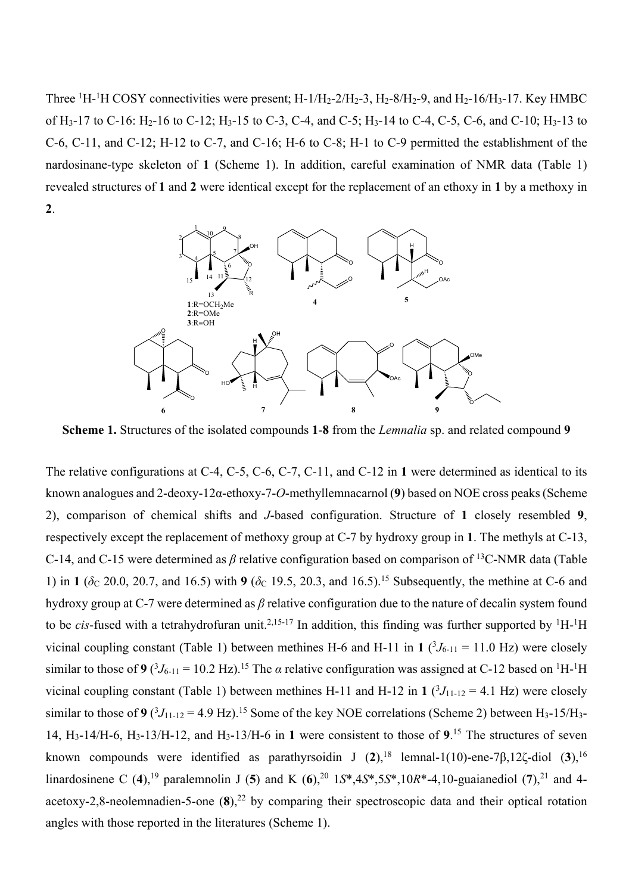Three  ${}^{1}H$ - ${}^{1}H$  COSY connectivities were present; H-1/H<sub>2</sub>-2/H<sub>2</sub>-3, H<sub>2</sub>-8/H<sub>2</sub>-9, and H<sub>2</sub>-16/H<sub>3</sub>-17. Key HMBC of H<sub>3</sub>-17 to C-16: H<sub>2</sub>-16 to C-12; H<sub>3</sub>-15 to C-3, C-4, and C-5; H<sub>3</sub>-14 to C-4, C-5, C-6, and C-10; H<sub>3</sub>-13 to C-6, C-11, and C-12; H-12 to C-7, and C-16; H-6 to C-8; H-1 to C-9 permitted the establishment of the nardosinane-type skeleton of **1** (Scheme 1). In addition, careful examination of NMR data (Table 1) revealed structures of **1** and **2** were identical except for the replacement of an ethoxy in **1** by a methoxy in **2**.



**Scheme 1.** Structures of the isolated compounds **1**-**8** from the *Lemnalia* sp. and related compound **9**

The relative configurations at C-4, C-5, C-6, C-7, C-11, and C-12 in **1** were determined as identical to its known analogues and 2-deoxy-12α-ethoxy-7-*O*-methyllemnacarnol (**9**) based on NOE cross peaks (Scheme 2), comparison of chemical shifts and *J*-based configuration. Structure of **1** closely resembled **9**, respectively except the replacement of methoxy group at C-7 by hydroxy group in **1**. The methyls at C-13, C-14, and C-15 were determined as *β* relative configuration based on comparison of 13C-NMR data (Table 1) in **1** ( $\delta$ C 20.0, 20.7, and 16.5) with **9** ( $\delta$ C 19.5, 20.3, and 16.5).<sup>15</sup> Subsequently, the methine at C-6 and hydroxy group at C-7 were determined as *β* relative configuration due to the nature of decalin system found to be *cis*-fused with a tetrahydrofuran unit.<sup>2,15-17</sup> In addition, this finding was further supported by <sup>1</sup>H-<sup>1</sup>H vicinal coupling constant (Table 1) between methines H-6 and H-11 in 1  $(^3J_{6-11} = 11.0$  Hz) were closely similar to those of 9  $(^3J_{6-11} = 10.2 \text{ Hz})$ .<sup>15</sup> The *α* relative configuration was assigned at C-12 based on <sup>1</sup>H-<sup>1</sup>H vicinal coupling constant (Table 1) between methines H-11 and H-12 in 1  $(^3J_{11-12} = 4.1$  Hz) were closely similar to those of 9  $(^3J_{11-12} = 4.9 \text{ Hz})$ .<sup>15</sup> Some of the key NOE correlations (Scheme 2) between H<sub>3</sub>-15/H<sub>3</sub>-14, H3-14/H-6, H3-13/H-12, and H3-13/H-6 in **1** were consistent to those of **9**. <sup>15</sup> The structures of seven known compounds were identified as parathyrsoidin J (**2**), <sup>18</sup> lemnal-1(10)-ene-7β,12ζ-diol (**3**), 16 linardosinene C (**4**), <sup>19</sup> paralemnolin J (**5**) and K (**6**), <sup>20</sup> 1*S*\*,4*S*\*,5*S*\*,10*R*\*-4,10-guaianediol (**7**), <sup>21</sup> and 4 acetoxy-2,8-neolemnadien-5-one (**8**), <sup>22</sup> by comparing their spectroscopic data and their optical rotation angles with those reported in the literatures (Scheme 1).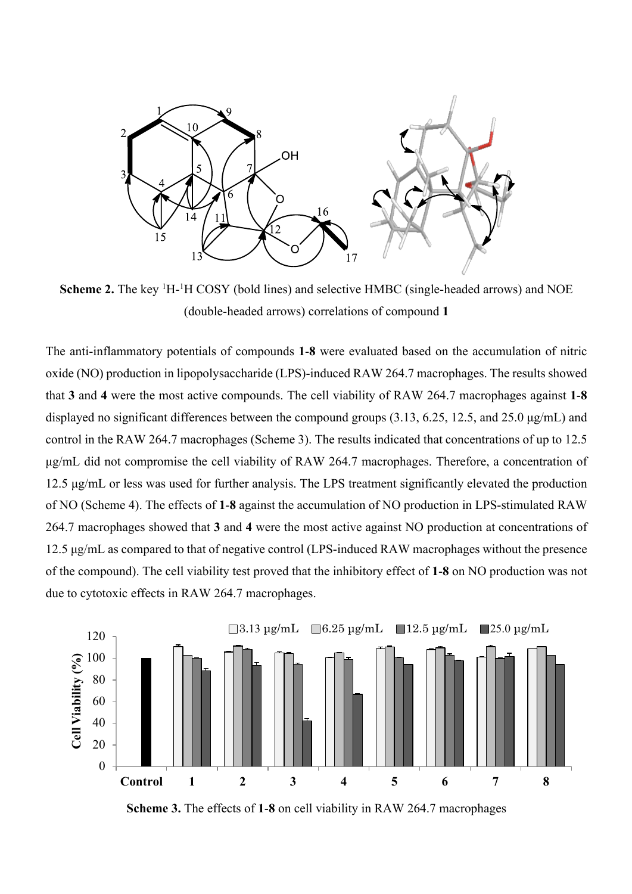

Scheme 2. The key <sup>1</sup>H-<sup>1</sup>H COSY (bold lines) and selective HMBC (single-headed arrows) and NOE (double-headed arrows) correlations of compound **1**

The anti-inflammatory potentials of compounds **1**-**8** were evaluated based on the accumulation of nitric oxide (NO) production in lipopolysaccharide (LPS)-induced RAW 264.7 macrophages. The results showed that **3** and **4** were the most active compounds. The cell viability of RAW 264.7 macrophages against **1**-**8** displayed no significant differences between the compound groups (3.13, 6.25, 12.5, and 25.0 μg/mL) and control in the RAW 264.7 macrophages (Scheme 3). The results indicated that concentrations of up to 12.5 μg/mL did not compromise the cell viability of RAW 264.7 macrophages. Therefore, a concentration of 12.5 μg/mL or less was used for further analysis. The LPS treatment significantly elevated the production of NO (Scheme 4). The effects of **1**-**8** against the accumulation of NO production in LPS-stimulated RAW 264.7 macrophages showed that **3** and **4** were the most active against NO production at concentrations of 12.5 μg/mL as compared to that of negative control (LPS-induced RAW macrophages without the presence of the compound). The cell viability test proved that the inhibitory effect of **1**-**8** on NO production was not due to cytotoxic effects in RAW 264.7 macrophages.



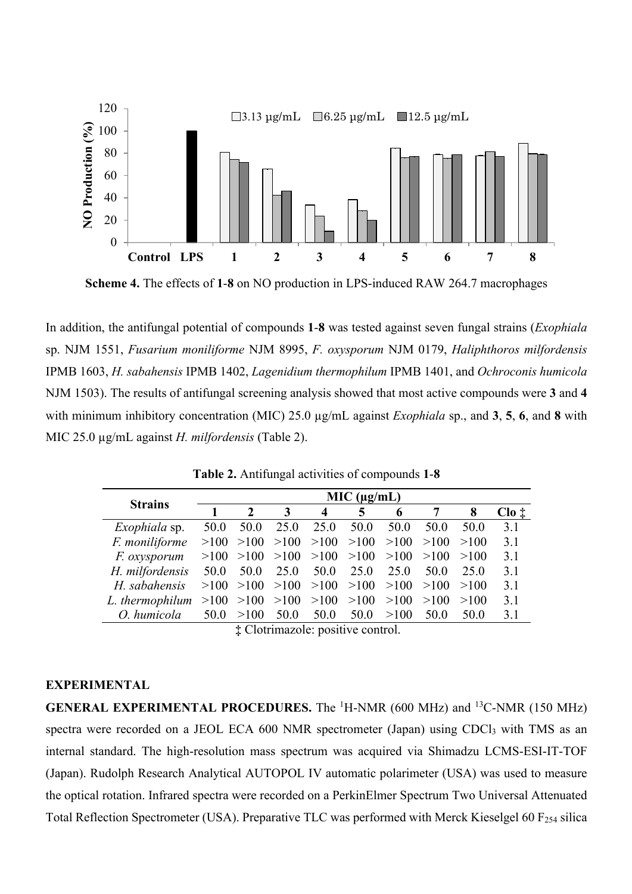

**Scheme 4.** The effects of **1**-**8** on NO production in LPS-induced RAW 264.7 macrophages

In addition, the antifungal potential of compounds **1**-**8** was tested against seven fungal strains (*Exophiala* sp. NJM 1551, *Fusarium moniliforme* NJM 8995, *F. oxysporum* NJM 0179, *Haliphthoros milfordensis* IPMB 1603, *H. sabahensis* IPMB 1402, *Lagenidium thermophilum* IPMB 1401, and *Ochroconis humicola* NJM 1503). The results of antifungal screening analysis showed that most active compounds were **3** and **4** with minimum inhibitory concentration (MIC) 25.0 µg/mL against *Exophiala* sp., and **3**, **5**, **6**, and **8** with MIC 25.0 µg/mL against *H. milfordensis* (Table 2).

| MIC (µg/mL) |              |                  |                                                       |      |                              |      |      |                          |  |
|-------------|--------------|------------------|-------------------------------------------------------|------|------------------------------|------|------|--------------------------|--|
|             | $\mathbf{2}$ | 3                | $\boldsymbol{4}$                                      | 5    | 6                            |      | 8    | $\text{Cl}_0$ $\ddagger$ |  |
| 50.0        | 50.0         | 25.0             | 25.0                                                  | 50.0 | 50.0                         | 50.0 | 50.0 | 3.1                      |  |
| >100        | >100         |                  | >100                                                  |      | >100                         | >100 | >100 | 3.1                      |  |
| >100        |              |                  | >100                                                  |      | >100                         | >100 | >100 | 3.1                      |  |
| 50.0        | 50.0         | 25.0             | 50.0                                                  | 25.0 | 25.0                         | 50.0 | 25.0 | 3.1                      |  |
|             |              |                  | >100                                                  |      | >100                         | >100 | >100 | 3.1                      |  |
| >100        |              |                  | >100                                                  |      | >100                         | >100 | >100 | 3.1                      |  |
| 50.0        | >100         | 50.0             | 50.0                                                  | 50.0 | >100                         | 50.0 | 50.0 | 3.1                      |  |
|             |              | >100<br>$\cdots$ | >100<br>>100<br>$>100$ $>100$ $>100$<br>$>100$ $>100$ |      | >100<br>>100<br>>100<br>>100 |      |      |                          |  |

**Table 2.** Antifungal activities of compounds **1**-**8**

**‡** Clotrimazole: positive control.

## **EXPERIMENTAL**

**GENERAL EXPERIMENTAL PROCEDURES.** The <sup>1</sup>H-NMR (600 MHz) and <sup>13</sup>C-NMR (150 MHz) spectra were recorded on a JEOL ECA 600 NMR spectrometer (Japan) using CDCl<sub>3</sub> with TMS as an internal standard. The high-resolution mass spectrum was acquired via Shimadzu LCMS-ESI-IT-TOF (Japan). Rudolph Research Analytical AUTOPOL IV automatic polarimeter (USA) was used to measure the optical rotation. Infrared spectra were recorded on a PerkinElmer Spectrum Two Universal Attenuated Total Reflection Spectrometer (USA). Preparative TLC was performed with Merck Kieselgel 60 F<sub>254</sub> silica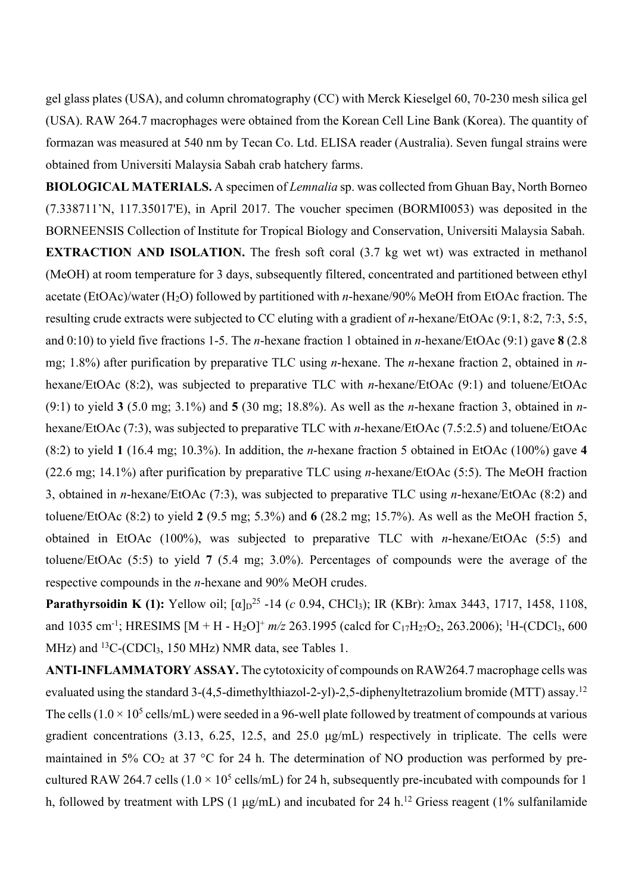gel glass plates (USA), and column chromatography (CC) with Merck Kieselgel 60, 70-230 mesh silica gel (USA). RAW 264.7 macrophages were obtained from the Korean Cell Line Bank (Korea). The quantity of formazan was measured at 540 nm by Tecan Co. Ltd. ELISA reader (Australia). Seven fungal strains were obtained from Universiti Malaysia Sabah crab hatchery farms.

**BIOLOGICAL MATERIALS.** A specimen of *Lemnalia* sp. was collected from Ghuan Bay, North Borneo (7.338711'N, 117.35017'E), in April 2017. The voucher specimen (BORMI0053) was deposited in the BORNEENSIS Collection of Institute for Tropical Biology and Conservation, Universiti Malaysia Sabah.

**EXTRACTION AND ISOLATION.** The fresh soft coral (3.7 kg wet wt) was extracted in methanol (MeOH) at room temperature for 3 days, subsequently filtered, concentrated and partitioned between ethyl acetate (EtOAc)/water (H<sub>2</sub>O) followed by partitioned with *n*-hexane/90% MeOH from EtOAc fraction. The resulting crude extracts were subjected to CC eluting with a gradient of *n*-hexane/EtOAc (9:1, 8:2, 7:3, 5:5, and 0:10) to yield five fractions 1-5. The *n*-hexane fraction 1 obtained in *n*-hexane/EtOAc (9:1) gave **8** (2.8 mg; 1.8%) after purification by preparative TLC using *n*-hexane. The *n*-hexane fraction 2, obtained in *n*hexane/EtOAc (8:2), was subjected to preparative TLC with *n*-hexane/EtOAc (9:1) and toluene/EtOAc (9:1) to yield **3** (5.0 mg; 3.1%) and **5** (30 mg; 18.8%). As well as the *n*-hexane fraction 3, obtained in *n*hexane/EtOAc (7:3), was subjected to preparative TLC with *n*-hexane/EtOAc (7.5:2.5) and toluene/EtOAc (8:2) to yield **1** (16.4 mg; 10.3%). In addition, the *n*-hexane fraction 5 obtained in EtOAc (100%) gave **4** (22.6 mg; 14.1%) after purification by preparative TLC using *n*-hexane/EtOAc (5:5). The MeOH fraction 3, obtained in *n*-hexane/EtOAc (7:3), was subjected to preparative TLC using *n*-hexane/EtOAc (8:2) and toluene/EtOAc (8:2) to yield **2** (9.5 mg; 5.3%) and **6** (28.2 mg; 15.7%). As well as the MeOH fraction 5, obtained in EtOAc (100%), was subjected to preparative TLC with *n*-hexane/EtOAc (5:5) and toluene/EtOAc (5:5) to yield **7** (5.4 mg; 3.0%). Percentages of compounds were the average of the respective compounds in the *n*-hexane and 90% MeOH crudes.

**Parathyrsoidin K (1):** Yellow oil;  $[\alpha]_D^{25}$  -14 (*c* 0.94, CHCl<sub>3</sub>); IR (KBr):  $\lambda$ max 3443, 1717, 1458, 1108, and 1035 cm<sup>-1</sup>; HRESIMS [M + H - H<sub>2</sub>O]<sup>+</sup>  $m/z$  263.1995 (calcd for C<sub>17</sub>H<sub>27</sub>O<sub>2</sub>, 263.2006); <sup>1</sup>H-(CDCl<sub>3</sub>, 600 MHz) and <sup>13</sup>C-(CDCl<sub>3</sub>, 150 MHz) NMR data, see Tables 1.

**ANTI-INFLAMMATORY ASSAY.** The cytotoxicity of compounds on RAW264.7 macrophage cells was evaluated using the standard 3-(4,5-dimethylthiazol-2-yl)-2,5-diphenyltetrazolium bromide (MTT) assay.<sup>12</sup> The cells  $(1.0 \times 10^5 \text{ cells/mL})$  were seeded in a 96-well plate followed by treatment of compounds at various gradient concentrations (3.13, 6.25, 12.5, and 25.0 μg/mL) respectively in triplicate. The cells were maintained in 5%  $CO<sub>2</sub>$  at 37 °C for 24 h. The determination of NO production was performed by precultured RAW 264.7 cells  $(1.0 \times 10^5 \text{ cells/mL})$  for 24 h, subsequently pre-incubated with compounds for 1 h, followed by treatment with LPS (1 μg/mL) and incubated for 24 h.<sup>12</sup> Griess reagent (1% sulfanilamide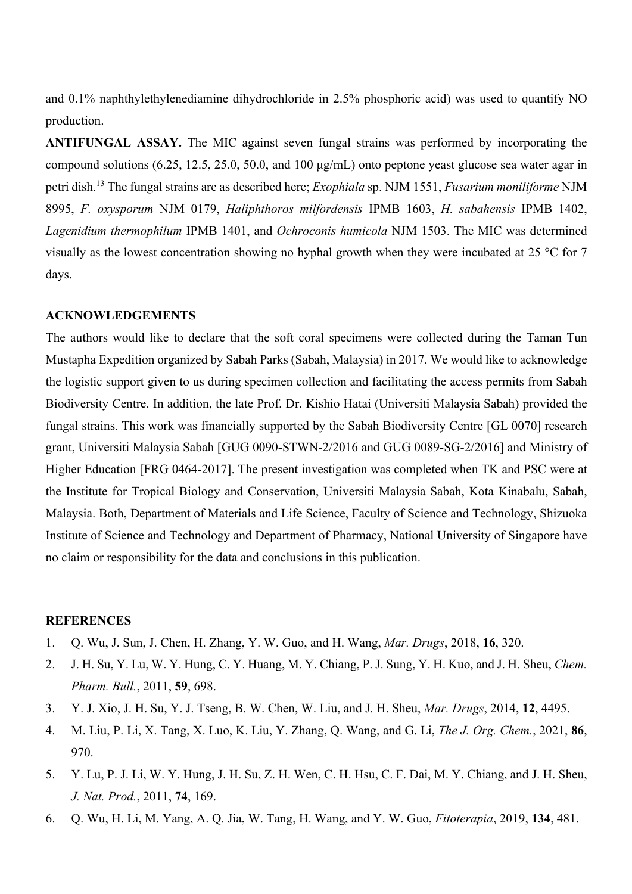and 0.1% naphthylethylenediamine dihydrochloride in 2.5% phosphoric acid) was used to quantify NO production.

**ANTIFUNGAL ASSAY.** The MIC against seven fungal strains was performed by incorporating the compound solutions (6.25, 12.5, 25.0, 50.0, and 100 μg/mL) onto peptone yeast glucose sea water agar in petri dish. <sup>13</sup> The fungal strains are as described here; *Exophiala* sp. NJM 1551, *Fusarium moniliforme* NJM 8995, *F. oxysporum* NJM 0179, *Haliphthoros milfordensis* IPMB 1603, *H. sabahensis* IPMB 1402, *Lagenidium thermophilum* IPMB 1401, and *Ochroconis humicola* NJM 1503. The MIC was determined visually as the lowest concentration showing no hyphal growth when they were incubated at 25 °C for 7 days.

## **ACKNOWLEDGEMENTS**

The authors would like to declare that the soft coral specimens were collected during the Taman Tun Mustapha Expedition organized by Sabah Parks (Sabah, Malaysia) in 2017. We would like to acknowledge the logistic support given to us during specimen collection and facilitating the access permits from Sabah Biodiversity Centre. In addition, the late Prof. Dr. Kishio Hatai (Universiti Malaysia Sabah) provided the fungal strains. This work was financially supported by the Sabah Biodiversity Centre [GL 0070] research grant, Universiti Malaysia Sabah [GUG 0090-STWN-2/2016 and GUG 0089-SG-2/2016] and Ministry of Higher Education [FRG 0464-2017]. The present investigation was completed when TK and PSC were at the Institute for Tropical Biology and Conservation, Universiti Malaysia Sabah, Kota Kinabalu, Sabah, Malaysia. Both, Department of Materials and Life Science, Faculty of Science and Technology, Shizuoka Institute of Science and Technology and Department of Pharmacy, National University of Singapore have no claim or responsibility for the data and conclusions in this publication.

## **REFERENCES**

- 1. Q. Wu, J. Sun, J. Chen, H. Zhang, Y. W. Guo, and H. Wang, *Mar. Drugs*, 2018, **16**, 320.
- 2. J. H. Su, Y. Lu, W. Y. Hung, C. Y. Huang, M. Y. Chiang, P. J. Sung, Y. H. Kuo, and J. H. Sheu, *Chem. Pharm. Bull.*, 2011, **59**, 698.
- 3. Y. J. Xio, J. H. Su, Y. J. Tseng, B. W. Chen, W. Liu, and J. H. Sheu, *Mar. Drugs*, 2014, **12**, 4495.
- 4. M. Liu, P. Li, X. Tang, X. Luo, K. Liu, Y. Zhang, Q. Wang, and G. Li, *The J. Org. Chem.*, 2021, **86**, 970.
- 5. Y. Lu, P. J. Li, W. Y. Hung, J. H. Su, Z. H. Wen, C. H. Hsu, C. F. Dai, M. Y. Chiang, and J. H. Sheu, *J. Nat. Prod.*, 2011, **74**, 169.
- 6. Q. Wu, H. Li, M. Yang, A. Q. Jia, W. Tang, H. Wang, and Y. W. Guo, *Fitoterapia*, 2019, **134**, 481.